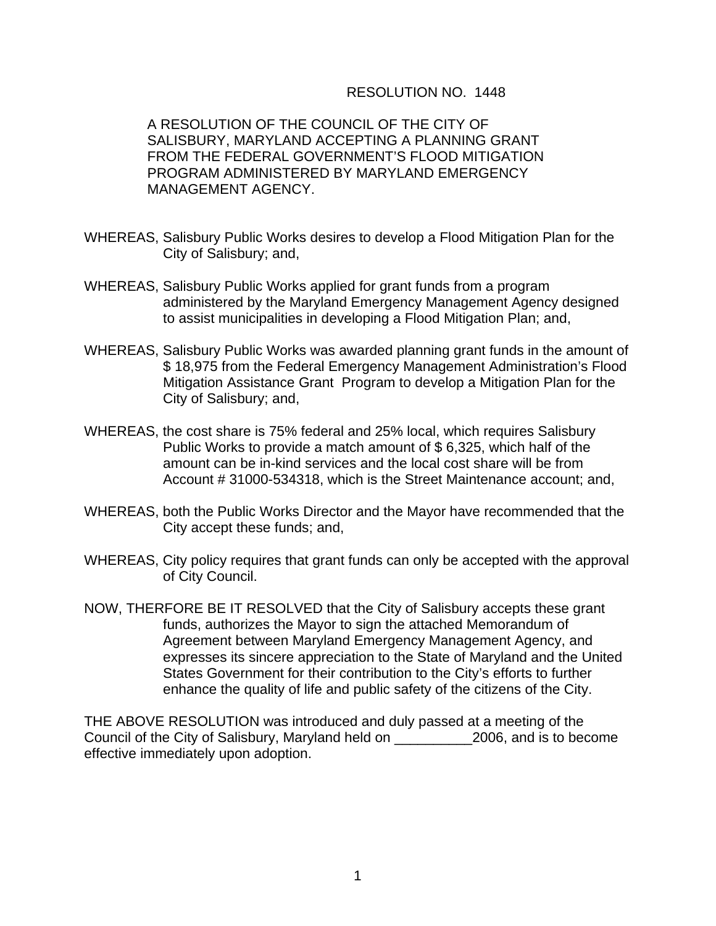## RESOLUTION NO. 1448

A RESOLUTION OF THE COUNCIL OF THE CITY OF SALISBURY, MARYLAND ACCEPTING A PLANNING GRANT FROM THE FEDERAL GOVERNMENT'S FLOOD MITIGATION PROGRAM ADMINISTERED BY MARYLAND EMERGENCY MANAGEMENT AGENCY.

- WHEREAS, Salisbury Public Works desires to develop a Flood Mitigation Plan for the City of Salisbury; and,
- WHEREAS, Salisbury Public Works applied for grant funds from a program administered by the Maryland Emergency Management Agency designed to assist municipalities in developing a Flood Mitigation Plan; and,
- WHEREAS, Salisbury Public Works was awarded planning grant funds in the amount of \$ 18,975 from the Federal Emergency Management Administration's Flood Mitigation Assistance Grant Program to develop a Mitigation Plan for the City of Salisbury; and,
- WHEREAS, the cost share is 75% federal and 25% local, which requires Salisbury Public Works to provide a match amount of \$ 6,325, which half of the amount can be in-kind services and the local cost share will be from Account # 31000-534318, which is the Street Maintenance account; and,
- WHEREAS, both the Public Works Director and the Mayor have recommended that the City accept these funds; and,
- WHEREAS, City policy requires that grant funds can only be accepted with the approval of City Council.
- NOW, THERFORE BE IT RESOLVED that the City of Salisbury accepts these grant funds, authorizes the Mayor to sign the attached Memorandum of Agreement between Maryland Emergency Management Agency, and expresses its sincere appreciation to the State of Maryland and the United States Government for their contribution to the City's efforts to further enhance the quality of life and public safety of the citizens of the City.

THE ABOVE RESOLUTION was introduced and duly passed at a meeting of the Council of the City of Salisbury, Maryland held on \_\_\_\_\_\_\_\_\_\_2006, and is to become effective immediately upon adoption.